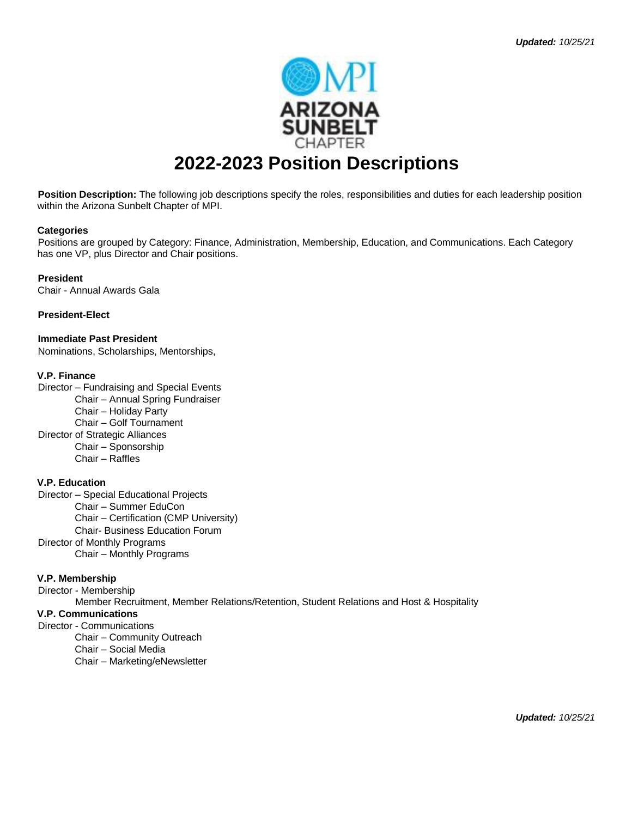

# **2022-2023 Position Descriptions**

**Position Description:** The following job descriptions specify the roles, responsibilities and duties for each leadership position within the Arizona Sunbelt Chapter of MPI.

#### **Categories**

Positions are grouped by Category: Finance, Administration, Membership, Education, and Communications. Each Category has one VP, plus Director and Chair positions.

**President** 

Chair - Annual Awards Gala

**President-Elect** 

**Immediate Past President**  Nominations, Scholarships, Mentorships,

#### **V.P. Finance**

Director – Fundraising and Special Events Chair – Annual Spring Fundraiser Chair – Holiday Party Chair – Golf Tournament Director of Strategic Alliances Chair – Sponsorship Chair – Raffles

#### **V.P. Education**

Director – Special Educational Projects Chair – Summer EduCon Chair – Certification (CMP University) Chair- Business Education Forum Director of Monthly Programs

Chair – Monthly Programs

#### **V.P. Membership**

Director - Membership Member Recruitment, Member Relations/Retention, Student Relations and Host & Hospitality **V.P. Communications** 

## Director - Communications

Chair – Community Outreach

Chair – Social Media

Chair – Marketing/eNewsletter

*Updated: 10/25/21*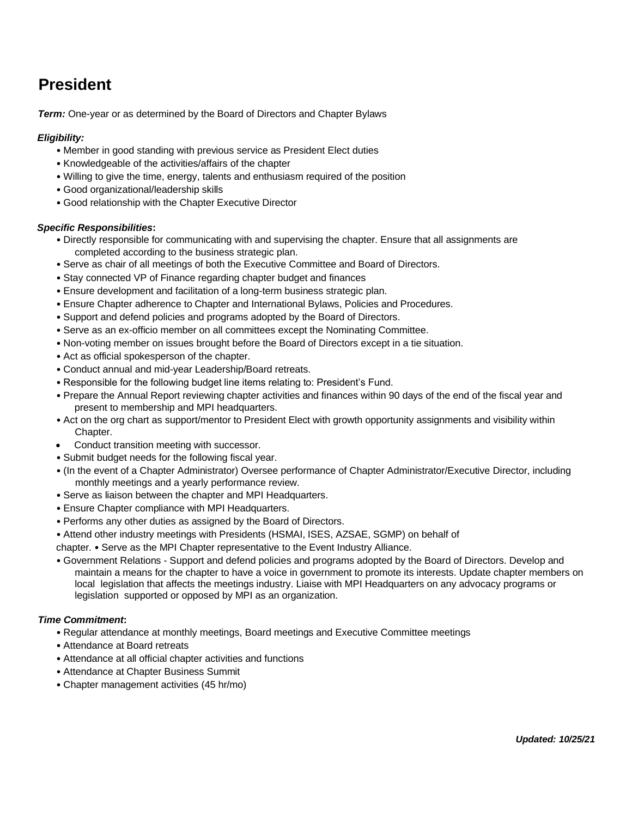# **President**

*Term:* One-year or as determined by the Board of Directors and Chapter Bylaws

#### *Eligibility:*

- Member in good standing with previous service as President Elect duties
- Knowledgeable of the activities/affairs of the chapter
- Willing to give the time, energy, talents and enthusiasm required of the position
- Good organizational/leadership skills
- Good relationship with the Chapter Executive Director

#### *Specific Responsibilities***:**

- Directly responsible for communicating with and supervising the chapter. Ensure that all assignments are completed according to the business strategic plan.
- Serve as chair of all meetings of both the Executive Committee and Board of Directors.
- Stay connected VP of Finance regarding chapter budget and finances
- Ensure development and facilitation of a long-term business strategic plan.
- Ensure Chapter adherence to Chapter and International Bylaws, Policies and Procedures.
- Support and defend policies and programs adopted by the Board of Directors.
- Serve as an ex-officio member on all committees except the Nominating Committee.
- Non-voting member on issues brought before the Board of Directors except in a tie situation.
- Act as official spokesperson of the chapter.
- Conduct annual and mid-year Leadership/Board retreats.
- Responsible for the following budget line items relating to: President's Fund.
- Prepare the Annual Report reviewing chapter activities and finances within 90 days of the end of the fiscal year and present to membership and MPI headquarters.
- Act on the org chart as support/mentor to President Elect with growth opportunity assignments and visibility within Chapter.
- Conduct transition meeting with successor.
- Submit budget needs for the following fiscal year.
- (In the event of a Chapter Administrator) Oversee performance of Chapter Administrator/Executive Director, including monthly meetings and a yearly performance review.
- Serve as liaison between the chapter and MPI Headquarters.
- Ensure Chapter compliance with MPI Headquarters.
- Performs any other duties as assigned by the Board of Directors.
- Attend other industry meetings with Presidents (HSMAI, ISES, AZSAE, SGMP) on behalf of

chapter. • Serve as the MPI Chapter representative to the Event Industry Alliance.

• Government Relations - Support and defend policies and programs adopted by the Board of Directors. Develop and maintain a means for the chapter to have a voice in government to promote its interests. Update chapter members on local legislation that affects the meetings industry. Liaise with MPI Headquarters on any advocacy programs or legislation supported or opposed by MPI as an organization.

- Regular attendance at monthly meetings, Board meetings and Executive Committee meetings
- Attendance at Board retreats
- Attendance at all official chapter activities and functions
- Attendance at Chapter Business Summit
- Chapter management activities (45 hr/mo)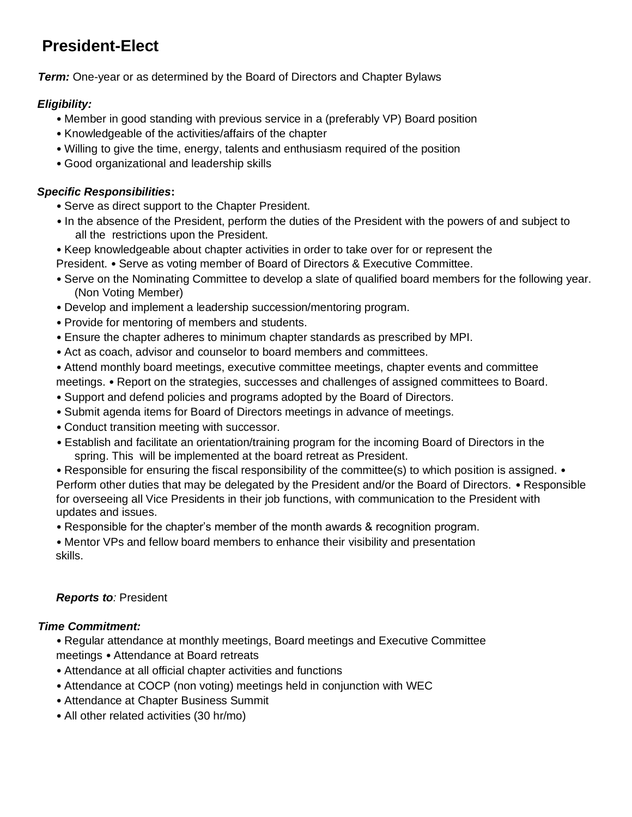# **President-Elect**

*Term:* One-year or as determined by the Board of Directors and Chapter Bylaws

## *Eligibility:*

- Member in good standing with previous service in a (preferably VP) Board position
- Knowledgeable of the activities/affairs of the chapter
- Willing to give the time, energy, talents and enthusiasm required of the position
- Good organizational and leadership skills

## *Specific Responsibilities***:**

- Serve as direct support to the Chapter President.
- In the absence of the President, perform the duties of the President with the powers of and subject to all the restrictions upon the President.
- Keep knowledgeable about chapter activities in order to take over for or represent the

President. • Serve as voting member of Board of Directors & Executive Committee.

- Serve on the Nominating Committee to develop a slate of qualified board members for the following year. (Non Voting Member)
- Develop and implement a leadership succession/mentoring program.
- Provide for mentoring of members and students.
- Ensure the chapter adheres to minimum chapter standards as prescribed by MPI.
- Act as coach, advisor and counselor to board members and committees.
- Attend monthly board meetings, executive committee meetings, chapter events and committee

meetings. • Report on the strategies, successes and challenges of assigned committees to Board.

- Support and defend policies and programs adopted by the Board of Directors.
- Submit agenda items for Board of Directors meetings in advance of meetings.
- Conduct transition meeting with successor.
- Establish and facilitate an orientation/training program for the incoming Board of Directors in the spring. This will be implemented at the board retreat as President.
- Responsible for ensuring the fiscal responsibility of the committee(s) to which position is assigned. Perform other duties that may be delegated by the President and/or the Board of Directors. • Responsible for overseeing all Vice Presidents in their job functions, with communication to the President with updates and issues.
- Responsible for the chapter's member of the month awards & recognition program.

• Mentor VPs and fellow board members to enhance their visibility and presentation skills.

## *Reports to:* President

## *Time Commitment:*

• Regular attendance at monthly meetings, Board meetings and Executive Committee meetings • Attendance at Board retreats

- Attendance at all official chapter activities and functions
- Attendance at COCP (non voting) meetings held in conjunction with WEC
- Attendance at Chapter Business Summit
- All other related activities (30 hr/mo)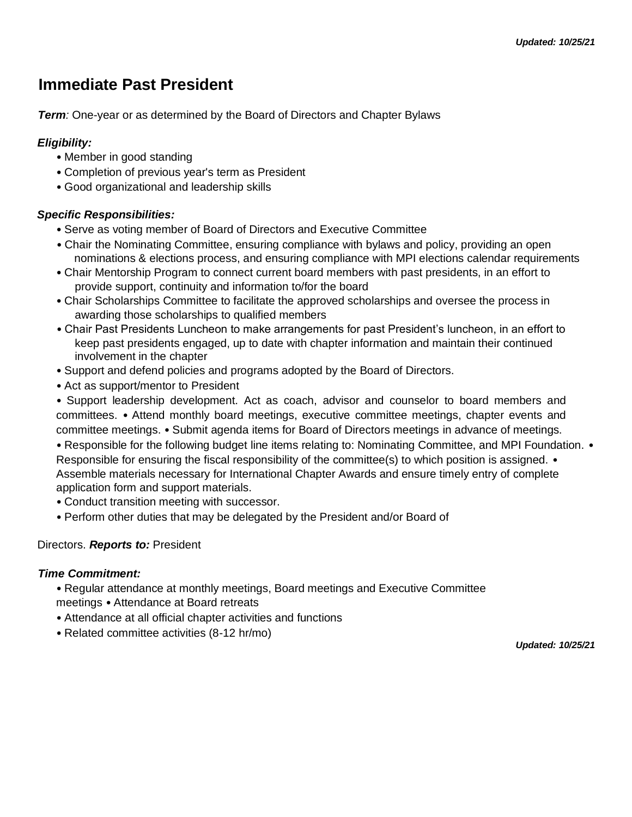## **Immediate Past President**

*Term:* One-year or as determined by the Board of Directors and Chapter Bylaws

## *Eligibility:*

- Member in good standing
- Completion of previous year's term as President
- Good organizational and leadership skills

## *Specific Responsibilities:*

- Serve as voting member of Board of Directors and Executive Committee
- Chair the Nominating Committee, ensuring compliance with bylaws and policy, providing an open nominations & elections process, and ensuring compliance with MPI elections calendar requirements
- Chair Mentorship Program to connect current board members with past presidents, in an effort to provide support, continuity and information to/for the board
- Chair Scholarships Committee to facilitate the approved scholarships and oversee the process in awarding those scholarships to qualified members
- Chair Past Presidents Luncheon to make arrangements for past President's luncheon, in an effort to keep past presidents engaged, up to date with chapter information and maintain their continued involvement in the chapter
- Support and defend policies and programs adopted by the Board of Directors.
- Act as support/mentor to President
- Support leadership development. Act as coach, advisor and counselor to board members and committees. • Attend monthly board meetings, executive committee meetings, chapter events and committee meetings. • Submit agenda items for Board of Directors meetings in advance of meetings.
- Responsible for the following budget line items relating to: Nominating Committee, and MPI Foundation. Responsible for ensuring the fiscal responsibility of the committee(s) to which position is assigned. • Assemble materials necessary for International Chapter Awards and ensure timely entry of complete application form and support materials.
- Conduct transition meeting with successor.
- Perform other duties that may be delegated by the President and/or Board of

## Directors. *Reports to:* President

## *Time Commitment:*

- Regular attendance at monthly meetings, Board meetings and Executive Committee meetings • Attendance at Board retreats
- Attendance at all official chapter activities and functions
- Related committee activities (8-12 hr/mo)

*Updated: 10/25/21*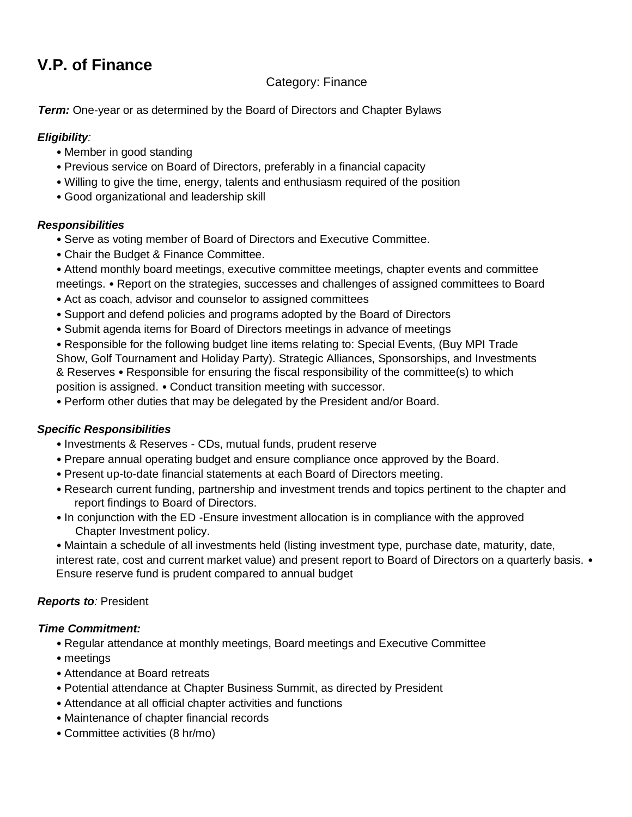# **V.P. of Finance**

## Category: Finance

*Term:* One-year or as determined by the Board of Directors and Chapter Bylaws

## *Eligibility:*

- Member in good standing
- Previous service on Board of Directors, preferably in a financial capacity
- Willing to give the time, energy, talents and enthusiasm required of the position
- Good organizational and leadership skill

## *Responsibilities*

- Serve as voting member of Board of Directors and Executive Committee.
- Chair the Budget & Finance Committee.
- Attend monthly board meetings, executive committee meetings, chapter events and committee meetings. • Report on the strategies, successes and challenges of assigned committees to Board
- Act as coach, advisor and counselor to assigned committees
- Support and defend policies and programs adopted by the Board of Directors
- Submit agenda items for Board of Directors meetings in advance of meetings
- Responsible for the following budget line items relating to: Special Events, (Buy MPI Trade Show, Golf Tournament and Holiday Party). Strategic Alliances, Sponsorships, and Investments & Reserves • Responsible for ensuring the fiscal responsibility of the committee(s) to which position is assigned. • Conduct transition meeting with successor.

• Perform other duties that may be delegated by the President and/or Board.

## *Specific Responsibilities*

- Investments & Reserves CDs, mutual funds, prudent reserve
- Prepare annual operating budget and ensure compliance once approved by the Board.
- Present up-to-date financial statements at each Board of Directors meeting.
- Research current funding, partnership and investment trends and topics pertinent to the chapter and report findings to Board of Directors.
- In conjunction with the ED -Ensure investment allocation is in compliance with the approved Chapter Investment policy.
- Maintain a schedule of all investments held (listing investment type, purchase date, maturity, date, interest rate, cost and current market value) and present report to Board of Directors on a quarterly basis. • Ensure reserve fund is prudent compared to annual budget

## **Reports to**: President

- Regular attendance at monthly meetings, Board meetings and Executive Committee
- meetings
- Attendance at Board retreats
- Potential attendance at Chapter Business Summit, as directed by President
- Attendance at all official chapter activities and functions
- Maintenance of chapter financial records
- Committee activities (8 hr/mo)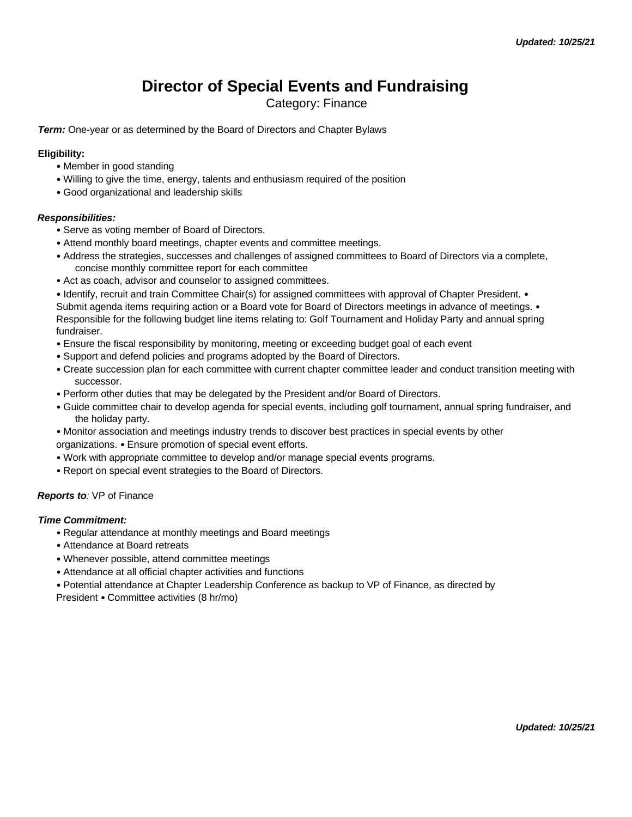## **Director of Special Events and Fundraising**

Category: Finance

*Term:* One-year or as determined by the Board of Directors and Chapter Bylaws

#### **Eligibility:**

- Member in good standing
- Willing to give the time, energy, talents and enthusiasm required of the position
- Good organizational and leadership skills

#### *Responsibilities:*

- Serve as voting member of Board of Directors.
- Attend monthly board meetings, chapter events and committee meetings.
- Address the strategies, successes and challenges of assigned committees to Board of Directors via a complete, concise monthly committee report for each committee
- Act as coach, advisor and counselor to assigned committees.

• Identify, recruit and train Committee Chair(s) for assigned committees with approval of Chapter President. • Submit agenda items requiring action or a Board vote for Board of Directors meetings in advance of meetings. • Responsible for the following budget line items relating to: Golf Tournament and Holiday Party and annual spring fundraiser.

- Ensure the fiscal responsibility by monitoring, meeting or exceeding budget goal of each event
- Support and defend policies and programs adopted by the Board of Directors.
- Create succession plan for each committee with current chapter committee leader and conduct transition meeting with successor.
- Perform other duties that may be delegated by the President and/or Board of Directors.
- Guide committee chair to develop agenda for special events, including golf tournament, annual spring fundraiser, and the holiday party.
- Monitor association and meetings industry trends to discover best practices in special events by other organizations. • Ensure promotion of special event efforts.
- Work with appropriate committee to develop and/or manage special events programs.
- Report on special event strategies to the Board of Directors.

#### *Reports to:* VP of Finance

#### *Time Commitment:*

- Regular attendance at monthly meetings and Board meetings
- Attendance at Board retreats
- Whenever possible, attend committee meetings
- Attendance at all official chapter activities and functions
- Potential attendance at Chapter Leadership Conference as backup to VP of Finance, as directed by

President • Committee activities (8 hr/mo)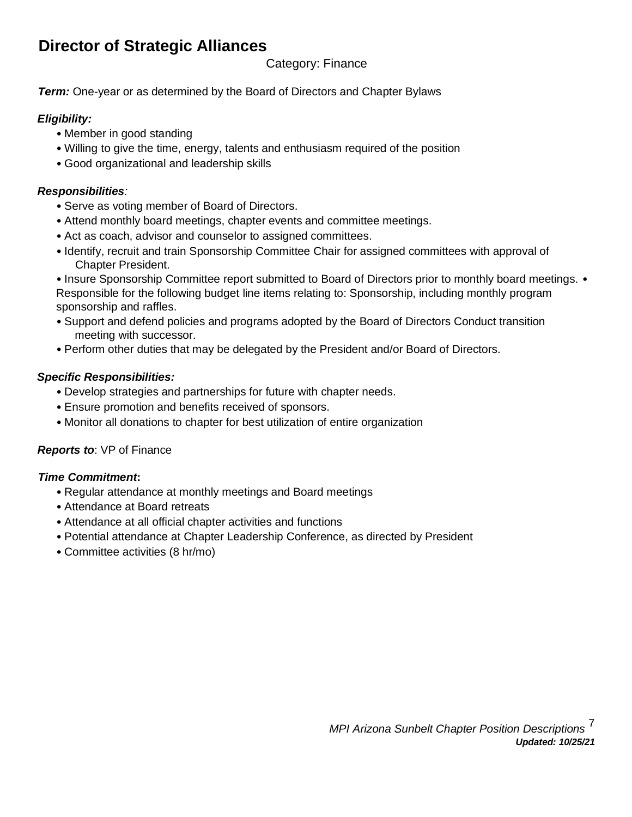# **Director of Strategic Alliances**

## Category: Finance

*Term:* One-year or as determined by the Board of Directors and Chapter Bylaws

## *Eligibility:*

- Member in good standing
- Willing to give the time, energy, talents and enthusiasm required of the position
- Good organizational and leadership skills

## *Responsibilities:*

- Serve as voting member of Board of Directors.
- Attend monthly board meetings, chapter events and committee meetings.
- Act as coach, advisor and counselor to assigned committees.
- Identify, recruit and train Sponsorship Committee Chair for assigned committees with approval of Chapter President.

• Insure Sponsorship Committee report submitted to Board of Directors prior to monthly board meetings. • Responsible for the following budget line items relating to: Sponsorship, including monthly program sponsorship and raffles.

- Support and defend policies and programs adopted by the Board of Directors Conduct transition meeting with successor.
- Perform other duties that may be delegated by the President and/or Board of Directors.

## *Specific Responsibilities:*

- Develop strategies and partnerships for future with chapter needs.
- Ensure promotion and benefits received of sponsors.
- Monitor all donations to chapter for best utilization of entire organization

## *Reports to*: VP of Finance

- Regular attendance at monthly meetings and Board meetings
- Attendance at Board retreats
- Attendance at all official chapter activities and functions
- Potential attendance at Chapter Leadership Conference, as directed by President
- Committee activities (8 hr/mo)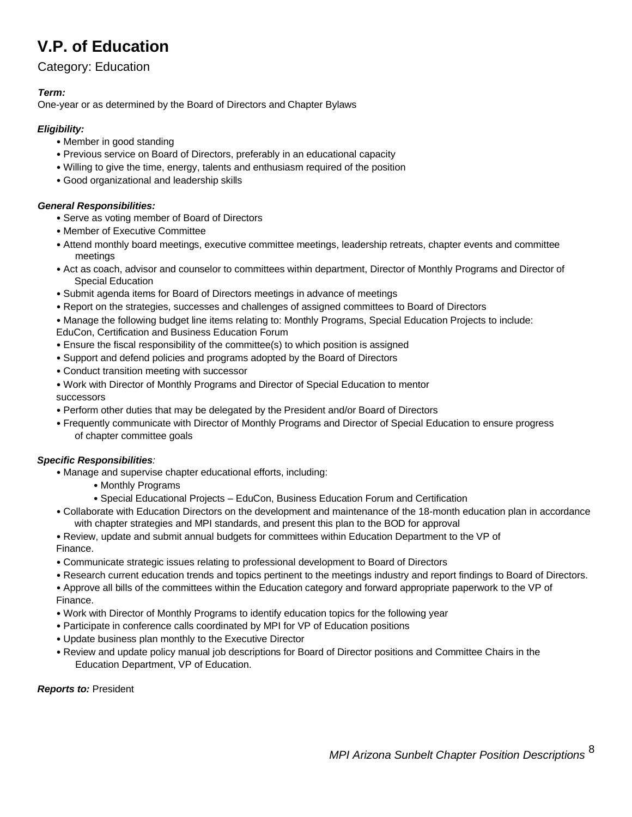# **V.P. of Education**

## Category: Education

### *Term:*

One-year or as determined by the Board of Directors and Chapter Bylaws

### *Eligibility:*

- Member in good standing
- Previous service on Board of Directors, preferably in an educational capacity
- Willing to give the time, energy, talents and enthusiasm required of the position
- Good organizational and leadership skills

### *General Responsibilities:*

- Serve as voting member of Board of Directors
- Member of Executive Committee
- Attend monthly board meetings, executive committee meetings, leadership retreats, chapter events and committee meetings
- Act as coach, advisor and counselor to committees within department, Director of Monthly Programs and Director of Special Education
- Submit agenda items for Board of Directors meetings in advance of meetings
- Report on the strategies, successes and challenges of assigned committees to Board of Directors
- Manage the following budget line items relating to: Monthly Programs, Special Education Projects to include: EduCon, Certification and Business Education Forum
- Ensure the fiscal responsibility of the committee(s) to which position is assigned
- Support and defend policies and programs adopted by the Board of Directors
- Conduct transition meeting with successor
- Work with Director of Monthly Programs and Director of Special Education to mentor successors
- Perform other duties that may be delegated by the President and/or Board of Directors
- Frequently communicate with Director of Monthly Programs and Director of Special Education to ensure progress of chapter committee goals

## *Specific Responsibilities:*

- Manage and supervise chapter educational efforts, including:
	- Monthly Programs
	- Special Educational Projects EduCon, Business Education Forum and Certification
- Collaborate with Education Directors on the development and maintenance of the 18-month education plan in accordance with chapter strategies and MPI standards, and present this plan to the BOD for approval
- Review, update and submit annual budgets for committees within Education Department to the VP of Finance.
- Communicate strategic issues relating to professional development to Board of Directors
- Research current education trends and topics pertinent to the meetings industry and report findings to Board of Directors.
- Approve all bills of the committees within the Education category and forward appropriate paperwork to the VP of Finance.
- Work with Director of Monthly Programs to identify education topics for the following year
- Participate in conference calls coordinated by MPI for VP of Education positions
- Update business plan monthly to the Executive Director
- Review and update policy manual job descriptions for Board of Director positions and Committee Chairs in the Education Department, VP of Education.

#### *Reports to:* President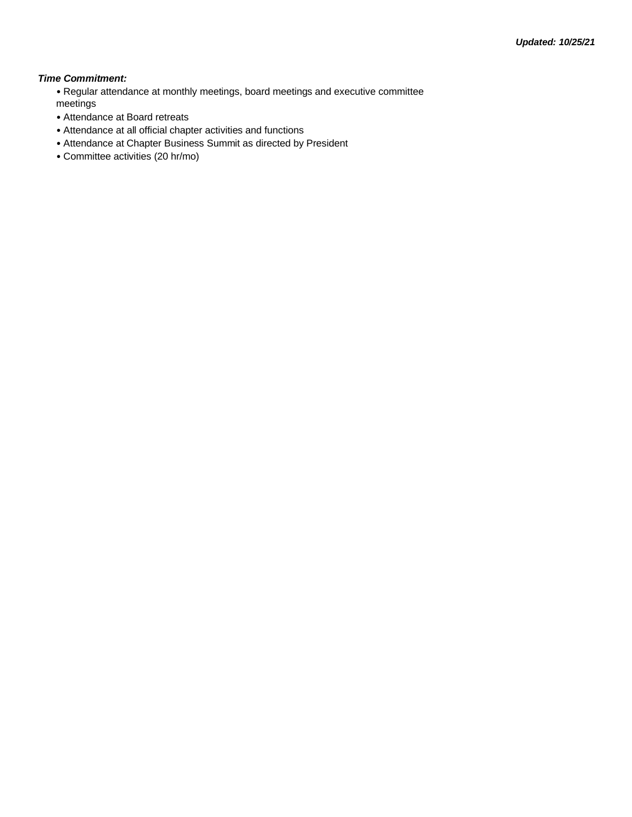#### *Time Commitment:*

• Regular attendance at monthly meetings, board meetings and executive committee meetings

- Attendance at Board retreats
- Attendance at all official chapter activities and functions
- Attendance at Chapter Business Summit as directed by President
- Committee activities (20 hr/mo)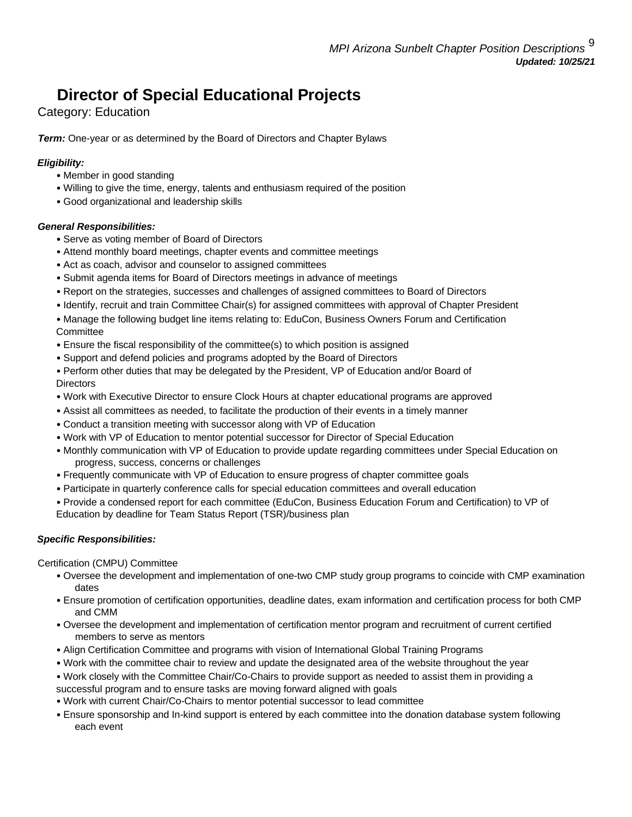# **Director of Special Educational Projects**

Category: Education

*Term:* One-year or as determined by the Board of Directors and Chapter Bylaws

## *Eligibility:*

- Member in good standing
- Willing to give the time, energy, talents and enthusiasm required of the position
- Good organizational and leadership skills

### *General Responsibilities:*

- Serve as voting member of Board of Directors
- Attend monthly board meetings, chapter events and committee meetings
- Act as coach, advisor and counselor to assigned committees
- Submit agenda items for Board of Directors meetings in advance of meetings
- Report on the strategies, successes and challenges of assigned committees to Board of Directors
- Identify, recruit and train Committee Chair(s) for assigned committees with approval of Chapter President

• Manage the following budget line items relating to: EduCon, Business Owners Forum and Certification **Committee** 

- Ensure the fiscal responsibility of the committee(s) to which position is assigned
- Support and defend policies and programs adopted by the Board of Directors

• Perform other duties that may be delegated by the President, VP of Education and/or Board of **Directors** 

- Work with Executive Director to ensure Clock Hours at chapter educational programs are approved
- Assist all committees as needed, to facilitate the production of their events in a timely manner
- Conduct a transition meeting with successor along with VP of Education
- Work with VP of Education to mentor potential successor for Director of Special Education
- Monthly communication with VP of Education to provide update regarding committees under Special Education on progress, success, concerns or challenges
- Frequently communicate with VP of Education to ensure progress of chapter committee goals
- Participate in quarterly conference calls for special education committees and overall education
- Provide a condensed report for each committee (EduCon, Business Education Forum and Certification) to VP of Education by deadline for Team Status Report (TSR)/business plan

## *Specific Responsibilities:*

Certification (CMPU) Committee

- Oversee the development and implementation of one-two CMP study group programs to coincide with CMP examination dates
- Ensure promotion of certification opportunities, deadline dates, exam information and certification process for both CMP and CMM
- Oversee the development and implementation of certification mentor program and recruitment of current certified members to serve as mentors
- Align Certification Committee and programs with vision of International Global Training Programs
- Work with the committee chair to review and update the designated area of the website throughout the year
- Work closely with the Committee Chair/Co-Chairs to provide support as needed to assist them in providing a successful program and to ensure tasks are moving forward aligned with goals
- Work with current Chair/Co-Chairs to mentor potential successor to lead committee
- Ensure sponsorship and In-kind support is entered by each committee into the donation database system following each event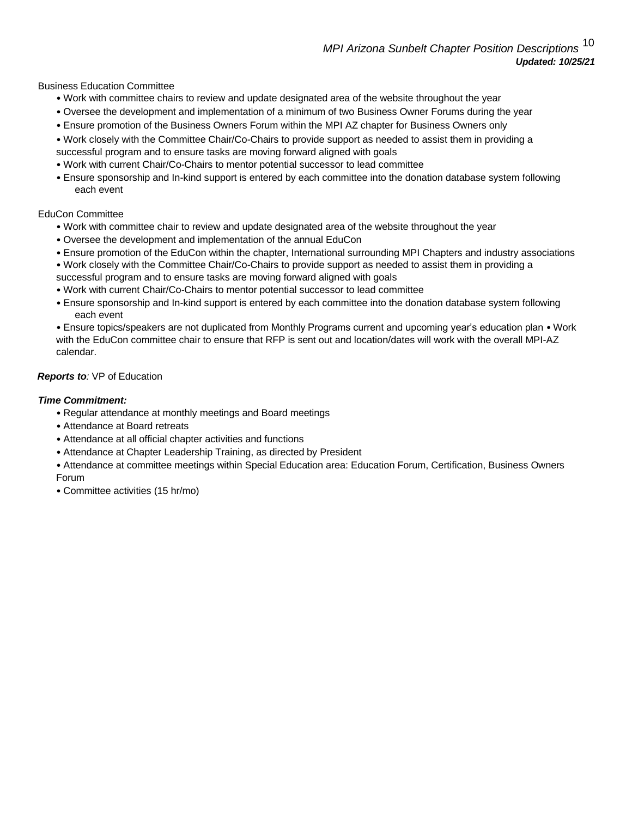Business Education Committee

- Work with committee chairs to review and update designated area of the website throughout the year
- Oversee the development and implementation of a minimum of two Business Owner Forums during the year
- Ensure promotion of the Business Owners Forum within the MPI AZ chapter for Business Owners only
- Work closely with the Committee Chair/Co-Chairs to provide support as needed to assist them in providing a successful program and to ensure tasks are moving forward aligned with goals
- Work with current Chair/Co-Chairs to mentor potential successor to lead committee
- Ensure sponsorship and In-kind support is entered by each committee into the donation database system following each event

#### EduCon Committee

- Work with committee chair to review and update designated area of the website throughout the year
- Oversee the development and implementation of the annual EduCon
- Ensure promotion of the EduCon within the chapter, International surrounding MPI Chapters and industry associations
- Work closely with the Committee Chair/Co-Chairs to provide support as needed to assist them in providing a successful program and to ensure tasks are moving forward aligned with goals
- Work with current Chair/Co-Chairs to mentor potential successor to lead committee
- Ensure sponsorship and In-kind support is entered by each committee into the donation database system following each event

• Ensure topics/speakers are not duplicated from Monthly Programs current and upcoming year's education plan • Work with the EduCon committee chair to ensure that RFP is sent out and location/dates will work with the overall MPI-AZ calendar.

#### *Reports to:* VP of Education

- Regular attendance at monthly meetings and Board meetings
- Attendance at Board retreats
- Attendance at all official chapter activities and functions
- Attendance at Chapter Leadership Training, as directed by President
- Attendance at committee meetings within Special Education area: Education Forum, Certification, Business Owners Forum
- Committee activities (15 hr/mo)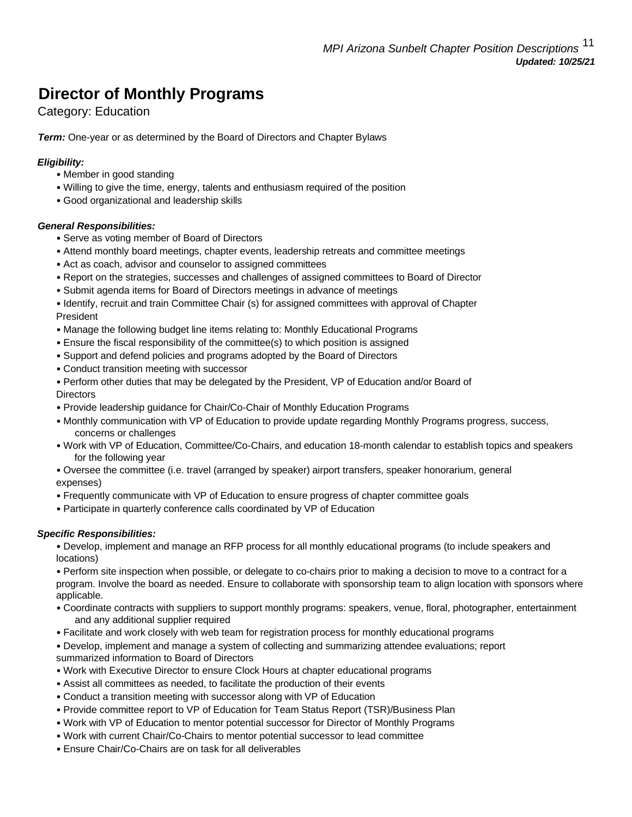# **Director of Monthly Programs**

## Category: Education

*Term:* One-year or as determined by the Board of Directors and Chapter Bylaws

### *Eligibility:*

- Member in good standing
- Willing to give the time, energy, talents and enthusiasm required of the position
- Good organizational and leadership skills

#### *General Responsibilities:*

- Serve as voting member of Board of Directors
- Attend monthly board meetings, chapter events, leadership retreats and committee meetings
- Act as coach, advisor and counselor to assigned committees
- Report on the strategies, successes and challenges of assigned committees to Board of Director
- Submit agenda items for Board of Directors meetings in advance of meetings
- Identify, recruit and train Committee Chair (s) for assigned committees with approval of Chapter President
- Manage the following budget line items relating to: Monthly Educational Programs
- Ensure the fiscal responsibility of the committee(s) to which position is assigned
- Support and defend policies and programs adopted by the Board of Directors
- Conduct transition meeting with successor
- Perform other duties that may be delegated by the President, VP of Education and/or Board of **Directors**
- Provide leadership guidance for Chair/Co-Chair of Monthly Education Programs
- Monthly communication with VP of Education to provide update regarding Monthly Programs progress, success, concerns or challenges
- Work with VP of Education, Committee/Co-Chairs, and education 18-month calendar to establish topics and speakers for the following year
- Oversee the committee (i.e. travel (arranged by speaker) airport transfers, speaker honorarium, general expenses)
- Frequently communicate with VP of Education to ensure progress of chapter committee goals
- Participate in quarterly conference calls coordinated by VP of Education

#### *Specific Responsibilities:*

• Develop, implement and manage an RFP process for all monthly educational programs (to include speakers and locations)

• Perform site inspection when possible, or delegate to co-chairs prior to making a decision to move to a contract for a program. Involve the board as needed. Ensure to collaborate with sponsorship team to align location with sponsors where applicable.

- Coordinate contracts with suppliers to support monthly programs: speakers, venue, floral, photographer, entertainment and any additional supplier required
- Facilitate and work closely with web team for registration process for monthly educational programs
- Develop, implement and manage a system of collecting and summarizing attendee evaluations; report summarized information to Board of Directors
- Work with Executive Director to ensure Clock Hours at chapter educational programs
- Assist all committees as needed, to facilitate the production of their events
- Conduct a transition meeting with successor along with VP of Education
- Provide committee report to VP of Education for Team Status Report (TSR)/Business Plan
- Work with VP of Education to mentor potential successor for Director of Monthly Programs
- Work with current Chair/Co-Chairs to mentor potential successor to lead committee
- Ensure Chair/Co-Chairs are on task for all deliverables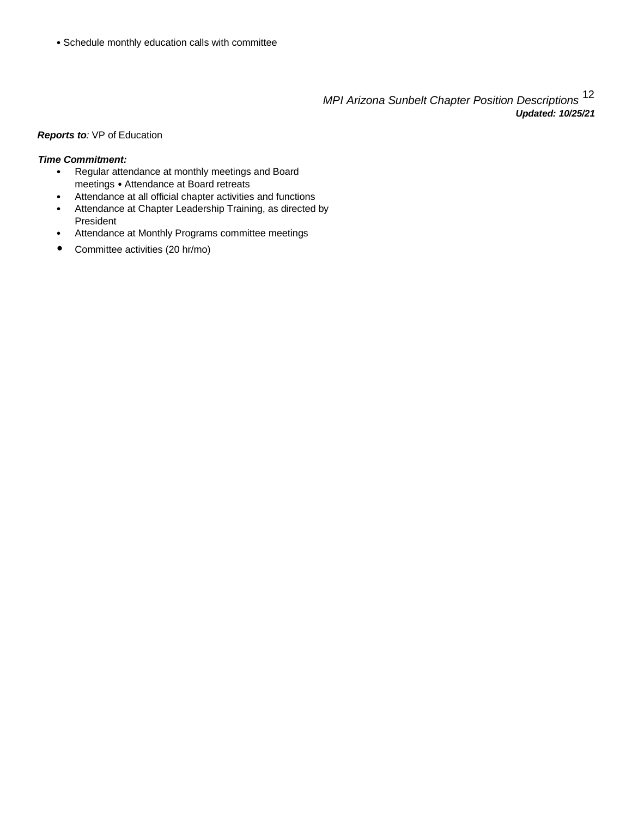• Schedule monthly education calls with committee

*MPI Arizona Sunbelt Chapter Position Descriptions* <sup>12</sup> *Updated: 10/25/21*

#### *Reports to:* VP of Education

- Regular attendance at monthly meetings and Board meetings • Attendance at Board retreats
- Attendance at all official chapter activities and functions
- Attendance at Chapter Leadership Training, as directed by President
- Attendance at Monthly Programs committee meetings
- Committee activities (20 hr/mo)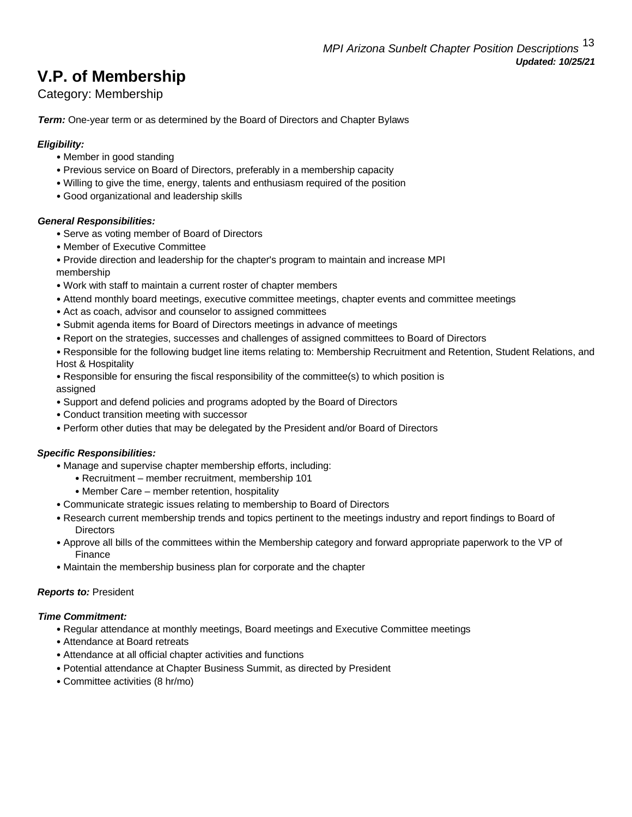# **V.P. of Membership**

Category: Membership

*Term:* One-year term or as determined by the Board of Directors and Chapter Bylaws

### *Eligibility:*

- Member in good standing
- Previous service on Board of Directors, preferably in a membership capacity
- Willing to give the time, energy, talents and enthusiasm required of the position
- Good organizational and leadership skills

### *General Responsibilities:*

- Serve as voting member of Board of Directors
- Member of Executive Committee
- Provide direction and leadership for the chapter's program to maintain and increase MPI

membership

- Work with staff to maintain a current roster of chapter members
- Attend monthly board meetings, executive committee meetings, chapter events and committee meetings
- Act as coach, advisor and counselor to assigned committees
- Submit agenda items for Board of Directors meetings in advance of meetings
- Report on the strategies, successes and challenges of assigned committees to Board of Directors
- Responsible for the following budget line items relating to: Membership Recruitment and Retention, Student Relations, and Host & Hospitality
- Responsible for ensuring the fiscal responsibility of the committee(s) to which position is

assigned

- Support and defend policies and programs adopted by the Board of Directors
- Conduct transition meeting with successor
- Perform other duties that may be delegated by the President and/or Board of Directors

#### *Specific Responsibilities:*

- Manage and supervise chapter membership efforts, including:
	- Recruitment member recruitment, membership 101
	- Member Care member retention, hospitality
- Communicate strategic issues relating to membership to Board of Directors
- Research current membership trends and topics pertinent to the meetings industry and report findings to Board of **Directors**
- Approve all bills of the committees within the Membership category and forward appropriate paperwork to the VP of Finance
- Maintain the membership business plan for corporate and the chapter

#### *Reports to:* President

- Regular attendance at monthly meetings, Board meetings and Executive Committee meetings
- Attendance at Board retreats
- Attendance at all official chapter activities and functions
- Potential attendance at Chapter Business Summit, as directed by President
- Committee activities (8 hr/mo)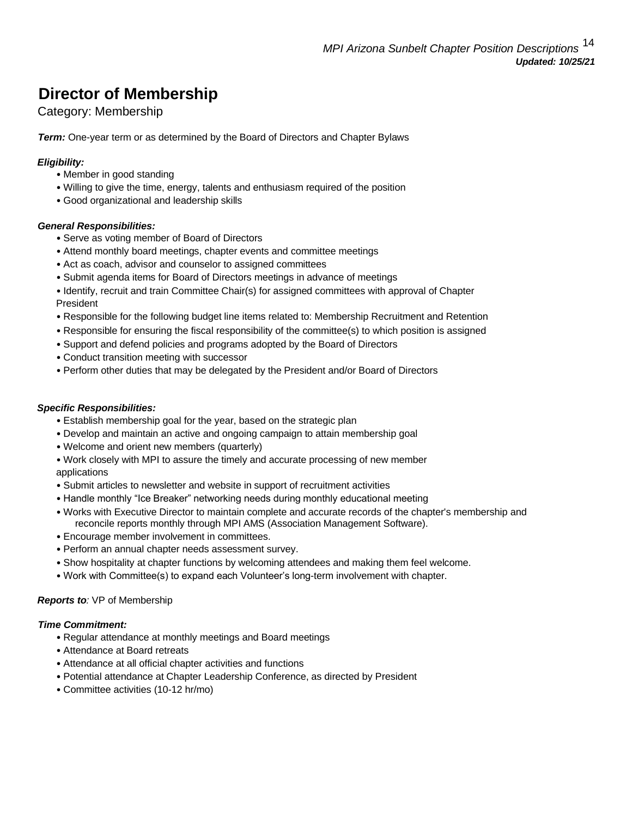# **Director of Membership**

## Category: Membership

*Term:* One-year term or as determined by the Board of Directors and Chapter Bylaws

### *Eligibility:*

- Member in good standing
- Willing to give the time, energy, talents and enthusiasm required of the position
- Good organizational and leadership skills

#### *General Responsibilities:*

- Serve as voting member of Board of Directors
- Attend monthly board meetings, chapter events and committee meetings
- Act as coach, advisor and counselor to assigned committees
- Submit agenda items for Board of Directors meetings in advance of meetings
- Identify, recruit and train Committee Chair(s) for assigned committees with approval of Chapter President
- Responsible for the following budget line items related to: Membership Recruitment and Retention
- Responsible for ensuring the fiscal responsibility of the committee(s) to which position is assigned
- Support and defend policies and programs adopted by the Board of Directors
- Conduct transition meeting with successor
- Perform other duties that may be delegated by the President and/or Board of Directors

#### *Specific Responsibilities:*

- Establish membership goal for the year, based on the strategic plan
- Develop and maintain an active and ongoing campaign to attain membership goal
- Welcome and orient new members (quarterly)
- Work closely with MPI to assure the timely and accurate processing of new member applications
- Submit articles to newsletter and website in support of recruitment activities
- Handle monthly "Ice Breaker" networking needs during monthly educational meeting
- Works with Executive Director to maintain complete and accurate records of the chapter's membership and reconcile reports monthly through MPI AMS (Association Management Software).
- Encourage member involvement in committees.
- Perform an annual chapter needs assessment survey.
- Show hospitality at chapter functions by welcoming attendees and making them feel welcome.
- Work with Committee(s) to expand each Volunteer's long-term involvement with chapter.

#### *Reports to:* VP of Membership

- Regular attendance at monthly meetings and Board meetings
- Attendance at Board retreats
- Attendance at all official chapter activities and functions
- Potential attendance at Chapter Leadership Conference, as directed by President
- Committee activities (10-12 hr/mo)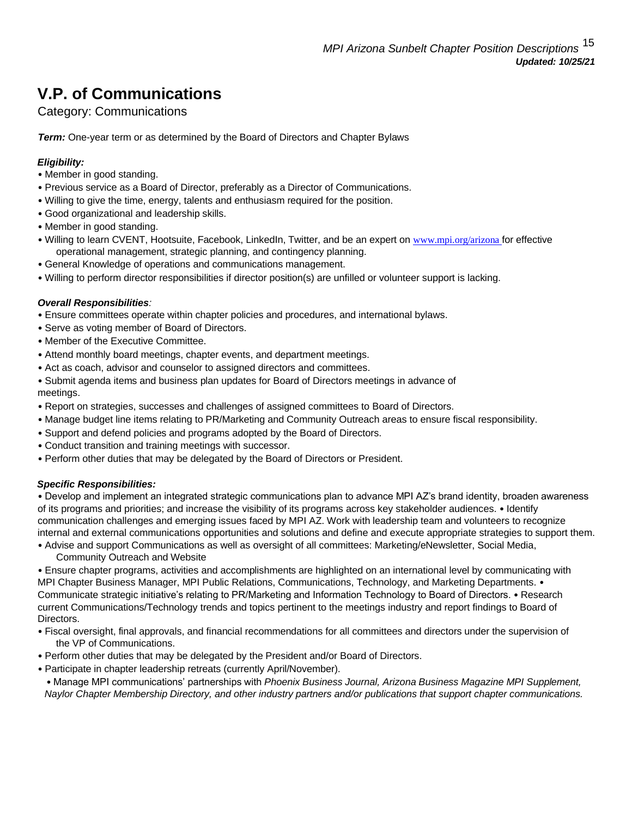# **V.P. of Communications**

## Category: Communications

*Term:* One-year term or as determined by the Board of Directors and Chapter Bylaws

### *Eligibility:*

- Member in good standing.
- Previous service as a Board of Director, preferably as a Director of Communications.
- Willing to give the time, energy, talents and enthusiasm required for the position.
- Good organizational and leadership skills.
- Member in good standing.
- Willing to learn CVENT, Hootsuite, Facebook, LinkedIn, Twitter, and be an expert on www.mpi.org/arizona for effective operational management, strategic planning, and contingency planning.
- General Knowledge of operations and communications management.
- Willing to perform director responsibilities if director position(s) are unfilled or volunteer support is lacking.

#### *Overall Responsibilities:*

- Ensure committees operate within chapter policies and procedures, and international bylaws.
- Serve as voting member of Board of Directors.
- Member of the Executive Committee.
- Attend monthly board meetings, chapter events, and department meetings.
- Act as coach, advisor and counselor to assigned directors and committees.
- Submit agenda items and business plan updates for Board of Directors meetings in advance of meetings.
- Report on strategies, successes and challenges of assigned committees to Board of Directors.
- Manage budget line items relating to PR/Marketing and Community Outreach areas to ensure fiscal responsibility.
- Support and defend policies and programs adopted by the Board of Directors.
- Conduct transition and training meetings with successor.
- Perform other duties that may be delegated by the Board of Directors or President.

#### *Specific Responsibilities:*

• Develop and implement an integrated strategic communications plan to advance MPI AZ's brand identity, broaden awareness of its programs and priorities; and increase the visibility of its programs across key stakeholder audiences. • Identify communication challenges and emerging issues faced by MPI AZ. Work with leadership team and volunteers to recognize internal and external communications opportunities and solutions and define and execute appropriate strategies to support them.

• Advise and support Communications as well as oversight of all committees: Marketing/eNewsletter, Social Media, Community Outreach and Website

• Ensure chapter programs, activities and accomplishments are highlighted on an international level by communicating with MPI Chapter Business Manager, MPI Public Relations, Communications, Technology, and Marketing Departments. • Communicate strategic initiative's relating to PR/Marketing and Information Technology to Board of Directors. • Research current Communications/Technology trends and topics pertinent to the meetings industry and report findings to Board of Directors.

- Fiscal oversight, final approvals, and financial recommendations for all committees and directors under the supervision of the VP of Communications.
- Perform other duties that may be delegated by the President and/or Board of Directors.
- Participate in chapter leadership retreats (currently April/November).

• Manage MPI communications' partnerships with *Phoenix Business Journal, Arizona Business Magazine MPI Supplement, Naylor Chapter Membership Directory, and other industry partners and/or publications that support chapter communications.*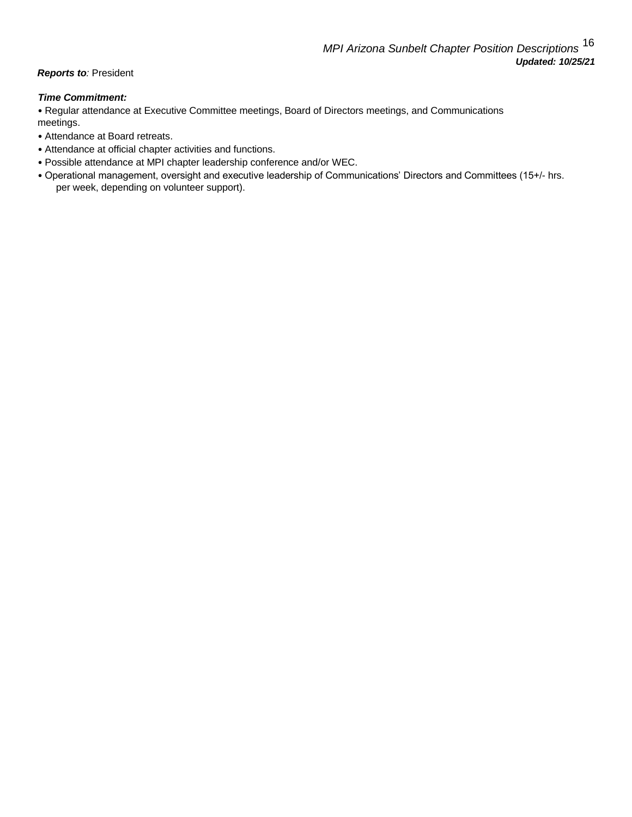#### **Reports to: President**

#### *Time Commitment:*

• Regular attendance at Executive Committee meetings, Board of Directors meetings, and Communications meetings.

- Attendance at Board retreats.
- Attendance at official chapter activities and functions.
- Possible attendance at MPI chapter leadership conference and/or WEC.
- Operational management, oversight and executive leadership of Communications' Directors and Committees (15+/- hrs. per week, depending on volunteer support).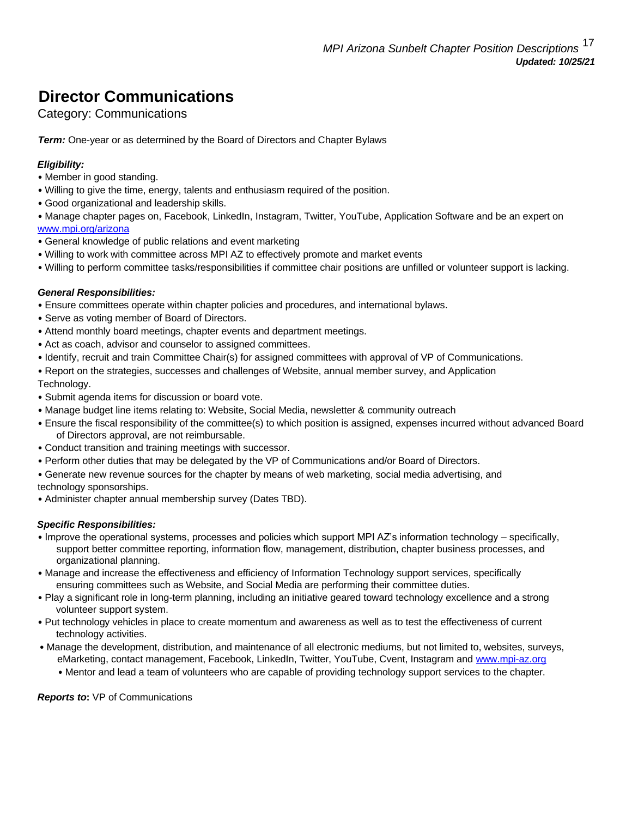# **Director Communications**

## Category: Communications

**Term:** One-year or as determined by the Board of Directors and Chapter Bylaws

## *Eligibility:*

- Member in good standing.
- Willing to give the time, energy, talents and enthusiasm required of the position.
- Good organizational and leadership skills.
- Manage chapter pages on, Facebook, LinkedIn, Instagram, Twitter, YouTube, Application Software and be an expert on [www.mpi.org/arizona](http://www.mpi.org/arizona)
- General knowledge of public relations and event marketing
- Willing to work with committee across MPI AZ to effectively promote and market events
- Willing to perform committee tasks/responsibilities if committee chair positions are unfilled or volunteer support is lacking.

### *General Responsibilities:*

- Ensure committees operate within chapter policies and procedures, and international bylaws.
- Serve as voting member of Board of Directors.
- Attend monthly board meetings, chapter events and department meetings.
- Act as coach, advisor and counselor to assigned committees.
- Identify, recruit and train Committee Chair(s) for assigned committees with approval of VP of Communications.
- Report on the strategies, successes and challenges of Website, annual member survey, and Application
- Technology.
- Submit agenda items for discussion or board vote.
- Manage budget line items relating to: Website, Social Media, newsletter & community outreach
- Ensure the fiscal responsibility of the committee(s) to which position is assigned, expenses incurred without advanced Board of Directors approval, are not reimbursable.
- Conduct transition and training meetings with successor.
- Perform other duties that may be delegated by the VP of Communications and/or Board of Directors.
- Generate new revenue sources for the chapter by means of web marketing, social media advertising, and technology sponsorships.
- Administer chapter annual membership survey (Dates TBD).

## *Specific Responsibilities:*

- Improve the operational systems, processes and policies which support MPI AZ's information technology specifically, support better committee reporting, information flow, management, distribution, chapter business processes, and organizational planning.
- Manage and increase the effectiveness and efficiency of Information Technology support services, specifically ensuring committees such as Website, and Social Media are performing their committee duties.
- Play a significant role in long-term planning, including an initiative geared toward technology excellence and a strong volunteer support system.
- Put technology vehicles in place to create momentum and awareness as well as to test the effectiveness of current technology activities.
- Manage the development, distribution, and maintenance of all electronic mediums, but not limited to, websites, surveys, eMarketing, contact management, Facebook, LinkedIn, Twitter, YouTube, Cvent, Instagram and www.mpi-az.org
	- Mentor and lead a team of volunteers who are capable of providing technology support services to the chapter.

#### *Reports to***:** VP of Communications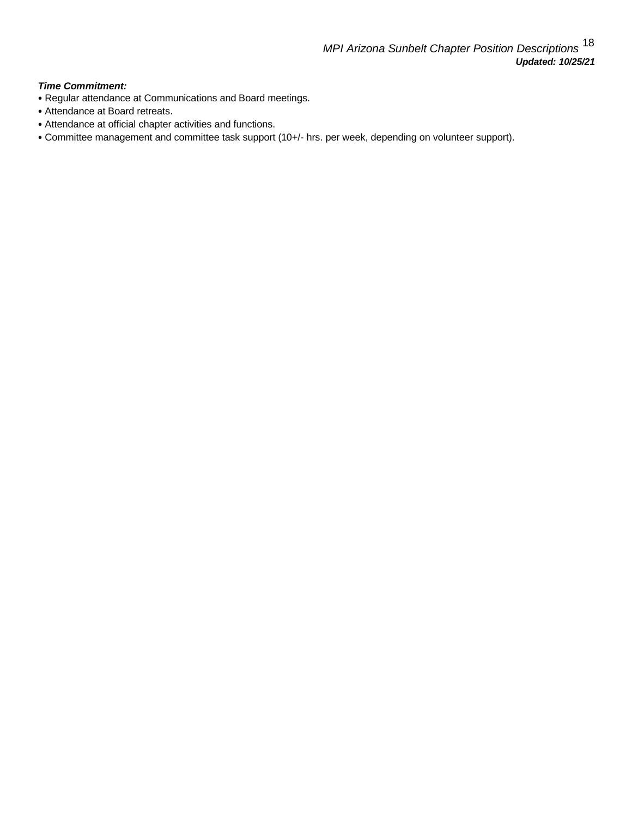- Regular attendance at Communications and Board meetings.
- Attendance at Board retreats.
- Attendance at official chapter activities and functions.
- Committee management and committee task support (10+/- hrs. per week, depending on volunteer support).